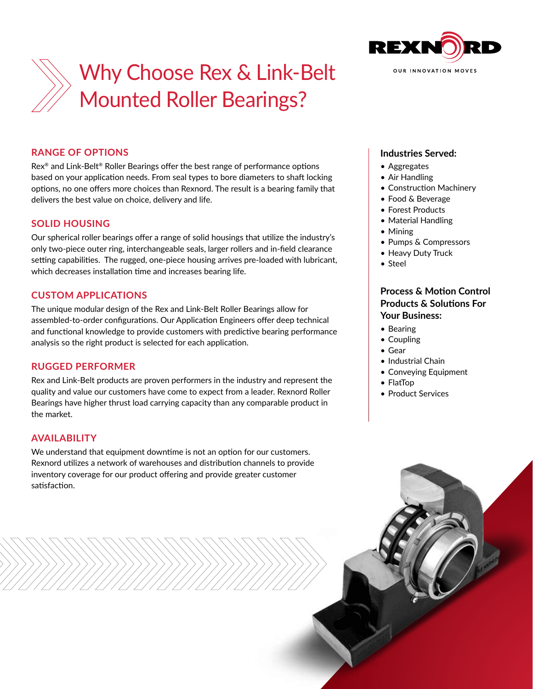



# Why Choose Rex & Link-Belt Mounted Roller Bearings?

## **RANGE OF OPTIONS**

Rex® and Link-Belt® Roller Bearings offer the best range of performance options based on your application needs. From seal types to bore diameters to shaft locking options, no one offers more choices than Rexnord. The result is a bearing family that delivers the best value on choice, delivery and life.

## **SOLID HOUSING**

Our spherical roller bearings offer a range of solid housings that utilize the industry's only two-piece outer ring, interchangeable seals, larger rollers and in-field clearance setting capabilities. The rugged, one-piece housing arrives pre-loaded with lubricant, which decreases installation time and increases bearing life.

## **CUSTOM APPLICATIONS**

The unique modular design of the Rex and Link-Belt Roller Bearings allow for assembled-to-order configurations. Our Application Engineers offer deep technical and functional knowledge to provide customers with predictive bearing performance analysis so the right product is selected for each application.

## **RUGGED PERFORMER**

Rex and Link-Belt products are proven performers in the industry and represent the quality and value our customers have come to expect from a leader. Rexnord Roller Bearings have higher thrust load carrying capacity than any comparable product in the market.

## **AVAILABILITY**

We understand that equipment downtime is not an option for our customers. Rexnord utilizes a network of warehouses and distribution channels to provide inventory coverage for our product offering and provide greater customer satisfaction.

## **Industries Served:**

- Aggregates
- Air Handling
- Construction Machinery
- Food & Beverage
- Forest Products
- Material Handling
- Mining
- Pumps & Compressors
- Heavy Duty Truck
- Steel

## **Process & Motion Control Products & Solutions For Your Business:**

- Bearing
- Coupling
- Gear
- Industrial Chain
- Conveying Equipment
- FlatTop
- Product Services